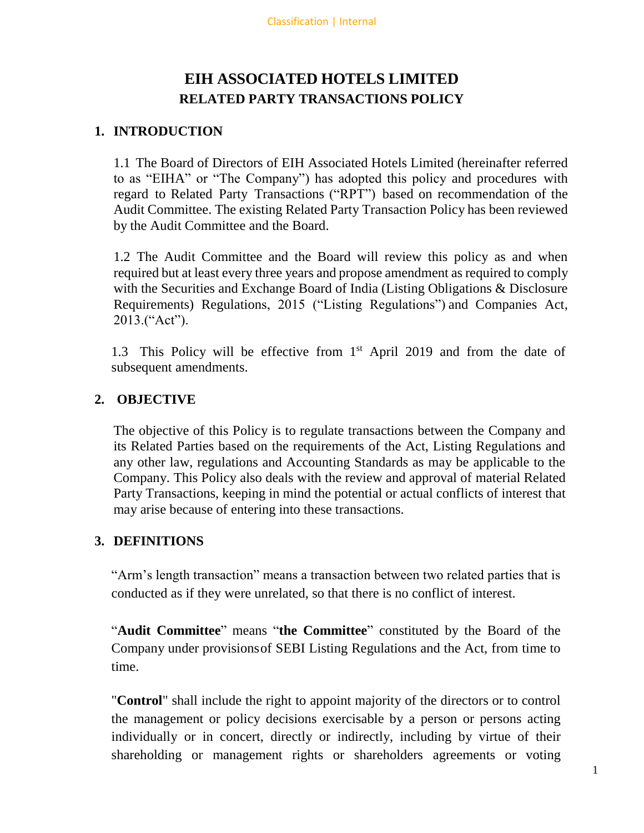# **EIH ASSOCIATED HOTELS LIMITED RELATED PARTY TRANSACTIONS POLICY**

### **1. INTRODUCTION**

1.1 The Board of Directors of EIH Associated Hotels Limited (hereinafter referred to as "EIHA" or "The Company") has adopted this policy and procedures with regard to Related Party Transactions ("RPT") based on recommendation of the Audit Committee. The existing Related Party Transaction Policy has been reviewed by the Audit Committee and the Board.

1.2 The Audit Committee and the Board will review this policy as and when required but at least every three years and propose amendment as required to comply with the Securities and Exchange Board of India (Listing Obligations & Disclosure Requirements) Regulations, 2015 ("Listing Regulations") and Companies Act, 2013.("Act").

1.3 This Policy will be effective from 1<sup>st</sup> April 2019 and from the date of subsequent amendments.

## **2. OBJECTIVE**

The objective of this Policy is to regulate transactions between the Company and its Related Parties based on the requirements of the Act, Listing Regulations and any other law, regulations and Accounting Standards as may be applicable to the Company. This Policy also deals with the review and approval of material Related Party Transactions, keeping in mind the potential or actual conflicts of interest that may arise because of entering into these transactions.

### **3. DEFINITIONS**

"Arm's length transaction" means a transaction between two related parties that is conducted as if they were unrelated, so that there is no conflict of interest.

"**Audit Committee**" means "**the Committee**" constituted by the Board of the Company under provisionsof SEBI Listing Regulations and the Act, from time to time.

"**Control**" shall include the right to appoint majority of the directors or to control the management or policy decisions exercisable by a person or persons acting individually or in concert, directly or indirectly, including by virtue of their shareholding or management rights or shareholders agreements or voting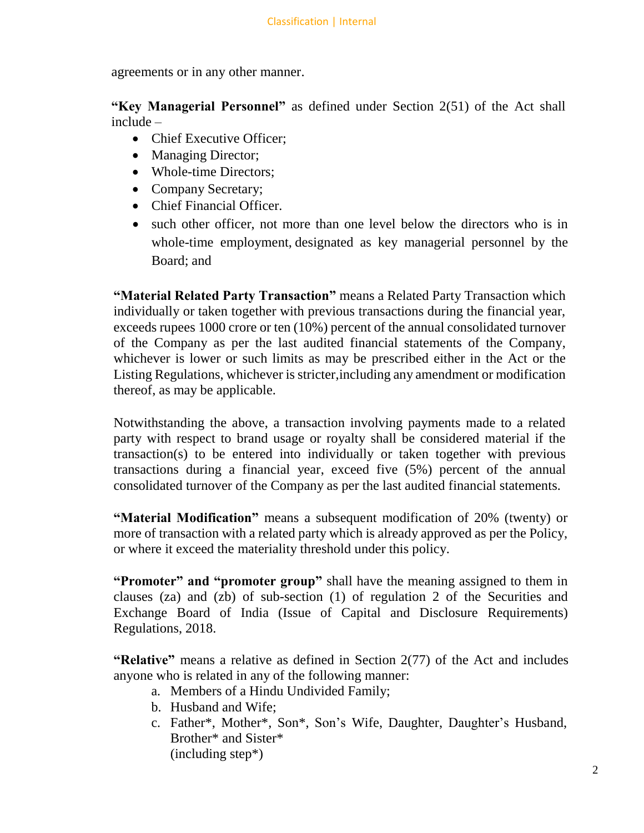agreements or in any other manner.

**"Key Managerial Personnel"** as defined under Section 2(51) of the Act shall include –

- Chief Executive Officer;
- Managing Director;
- Whole-time Directors;
- Company Secretary;
- Chief Financial Officer.
- such other officer, not more than one level below the directors who is in whole-time employment, designated as key managerial personnel by the Board; and

**"Material Related Party Transaction"** means a Related Party Transaction which individually or taken together with previous transactions during the financial year, exceeds rupees 1000 crore or ten (10%) percent of the annual consolidated turnover of the Company as per the last audited financial statements of the Company, whichever is lower or such limits as may be prescribed either in the Act or the Listing Regulations, whichever is stricter,including any amendment or modification thereof, as may be applicable.

Notwithstanding the above, a transaction involving payments made to a related party with respect to brand usage or royalty shall be considered material if the transaction(s) to be entered into individually or taken together with previous transactions during a financial year, exceed five (5%) percent of the annual consolidated turnover of the Company as per the last audited financial statements.

**"Material Modification"** means a subsequent modification of 20% (twenty) or more of transaction with a related party which is already approved as per the Policy, or where it exceed the materiality threshold under this policy.

**"Promoter" and "promoter group"** shall have the meaning assigned to them in clauses (za) and (zb) of sub-section (1) of regulation 2 of the Securities and Exchange Board of India (Issue of Capital and Disclosure Requirements) Regulations, 2018.

**"Relative"** means a relative as defined in Section 2(77) of the Act and includes anyone who is related in any of the following manner:

- a. Members of a Hindu Undivided Family;
- b. Husband and Wife;
- c. Father\*, Mother\*, Son\*, Son's Wife, Daughter, Daughter's Husband, Brother\* and Sister\* (including step\*)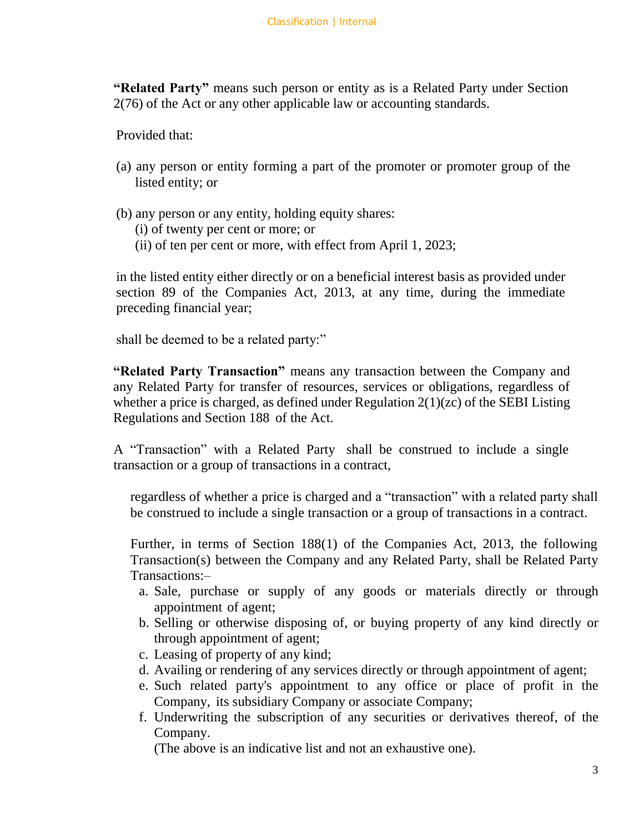**"Related Party"** means such person or entity as is a Related Party under Section 2(76) of the Act or any other applicable law or accounting standards.

Provided that:

- (a) any person or entity forming a part of the promoter or promoter group of the listed entity; or
- (b) any person or any entity, holding equity shares:
	- (i) of twenty per cent or more; or
	- (ii) of ten per cent or more, with effect from April 1, 2023;

in the listed entity either directly or on a beneficial interest basis as provided under section 89 of the Companies Act, 2013, at any time, during the immediate preceding financial year;

shall be deemed to be a related party:"

**"Related Party Transaction"** means any transaction between the Company and any Related Party for transfer of resources, services or obligations, regardless of whether a price is charged, as defined under Regulation 2(1)(zc) of the SEBI Listing Regulations and Section 188 of the Act.

A "Transaction" with a Related Party shall be construed to include a single transaction or a group of transactions in a contract,

regardless of whether a price is charged and a "transaction" with a related party shall be construed to include a single transaction or a group of transactions in a contract.

Further, in terms of Section 188(1) of the Companies Act, 2013, the following Transaction(s) between the Company and any Related Party, shall be Related Party Transactions:–

- a. Sale, purchase or supply of any goods or materials directly or through appointment of agent;
- b. Selling or otherwise disposing of, or buying property of any kind directly or through appointment of agent;
- c. Leasing of property of any kind;
- d. Availing or rendering of any services directly or through appointment of agent;
- e. Such related party's appointment to any office or place of profit in the Company, its subsidiary Company or associate Company;
- f. Underwriting the subscription of any securities or derivatives thereof, of the Company.

(The above is an indicative list and not an exhaustive one).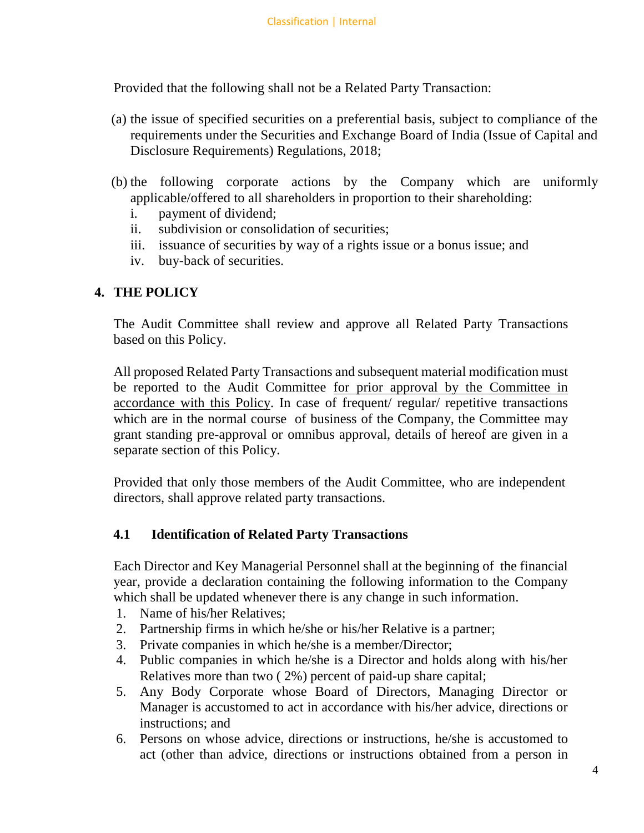Provided that the following shall not be a Related Party Transaction:

- (a) the issue of specified securities on a preferential basis, subject to compliance of the requirements under the Securities and Exchange Board of India (Issue of Capital and Disclosure Requirements) Regulations, 2018;
- (b) the following corporate actions by the Company which are uniformly applicable/offered to all shareholders in proportion to their shareholding:
	- i. payment of dividend;
	- ii. subdivision or consolidation of securities;
	- iii. issuance of securities by way of a rights issue or a bonus issue; and
	- iv. buy-back of securities.

### **4. THE POLICY**

The Audit Committee shall review and approve all Related Party Transactions based on this Policy.

All proposed Related Party Transactions and subsequent material modification must be reported to the Audit Committee for prior approval by the Committee in accordance with this Policy. In case of frequent/ regular/ repetitive transactions which are in the normal course of business of the Company, the Committee may grant standing pre-approval or omnibus approval, details of hereof are given in a separate section of this Policy.

Provided that only those members of the Audit Committee, who are independent directors, shall approve related party transactions.

#### **4.1 Identification of Related Party Transactions**

Each Director and Key Managerial Personnel shall at the beginning of the financial year, provide a declaration containing the following information to the Company which shall be updated whenever there is any change in such information.

- 1. Name of his/her Relatives;
- 2. Partnership firms in which he/she or his/her Relative is a partner;
- 3. Private companies in which he/she is a member/Director;
- 4. Public companies in which he/she is a Director and holds along with his/her Relatives more than two ( 2%) percent of paid-up share capital;
- 5. Any Body Corporate whose Board of Directors, Managing Director or Manager is accustomed to act in accordance with his/her advice, directions or instructions; and
- 6. Persons on whose advice, directions or instructions, he/she is accustomed to act (other than advice, directions or instructions obtained from a person in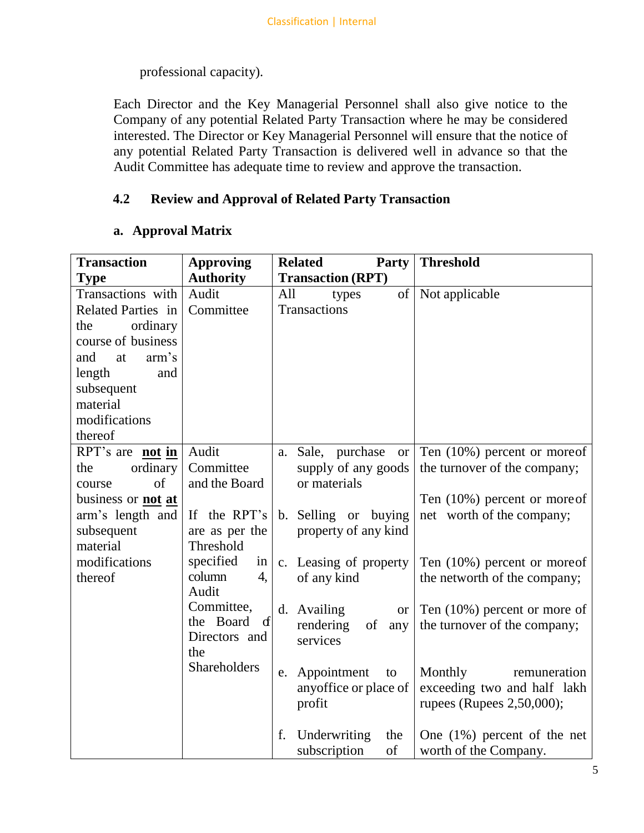professional capacity).

Each Director and the Key Managerial Personnel shall also give notice to the Company of any potential Related Party Transaction where he may be considered interested. The Director or Key Managerial Personnel will ensure that the notice of any potential Related Party Transaction is delivered well in advance so that the Audit Committee has adequate time to review and approve the transaction.

# **4.2 Review and Approval of Related Party Transaction**

## **a. Approval Matrix**

| <b>Transaction</b>        | <b>Approving</b>          | <b>Related</b><br><b>Party</b> | <b>Threshold</b>                |
|---------------------------|---------------------------|--------------------------------|---------------------------------|
| <b>Type</b>               | <b>Authority</b>          | <b>Transaction (RPT)</b>       |                                 |
| Transactions with         | Audit                     | of<br>All<br>types             | Not applicable                  |
| <b>Related Parties in</b> | Committee                 | Transactions                   |                                 |
| ordinary<br>the           |                           |                                |                                 |
| course of business        |                           |                                |                                 |
| arm's<br>and<br>at        |                           |                                |                                 |
| length<br>and             |                           |                                |                                 |
| subsequent                |                           |                                |                                 |
| material                  |                           |                                |                                 |
| modifications             |                           |                                |                                 |
| thereof                   |                           |                                |                                 |
| RPT's are not in          | Audit                     | a. Sale, purchase<br><b>or</b> | Ten $(10\%)$ percent or moreof  |
| ordinary<br>the           | Committee                 | supply of any goods            | the turnover of the company;    |
| of                        | and the Board             | or materials                   |                                 |
| course                    |                           |                                |                                 |
| business or <b>not</b> at |                           |                                | Ten $(10\%)$ percent or more of |
| arm's length and          | If the RPT's              | b. Selling or buying           | net worth of the company;       |
| subsequent                | are as per the            | property of any kind           |                                 |
| material                  | Threshold                 |                                |                                 |
| modifications             | specified<br>in           | c. Leasing of property         | Ten (10%) percent or moreof     |
| thereof                   | column<br>4,              | of any kind                    | the networth of the company;    |
|                           | Audit                     |                                |                                 |
|                           | Committee,                | d. Availing<br><b>or</b>       | Ten $(10\%)$ percent or more of |
|                           | the Board<br>$\mathbf{d}$ | rendering<br>of<br>any         | the turnover of the company;    |
|                           | Directors and             | services                       |                                 |
|                           | the                       |                                |                                 |
|                           | Shareholders              | Appointment<br>to<br>e.        | Monthly<br>remuneration         |
|                           |                           | anyoffice or place of          | exceeding two and half lakh     |
|                           |                           | profit                         | rupees (Rupees 2,50,000);       |
|                           |                           |                                |                                 |
|                           |                           | f.<br>Underwriting<br>the      | One $(1%)$ percent of the net   |
|                           |                           | of<br>subscription             | worth of the Company.           |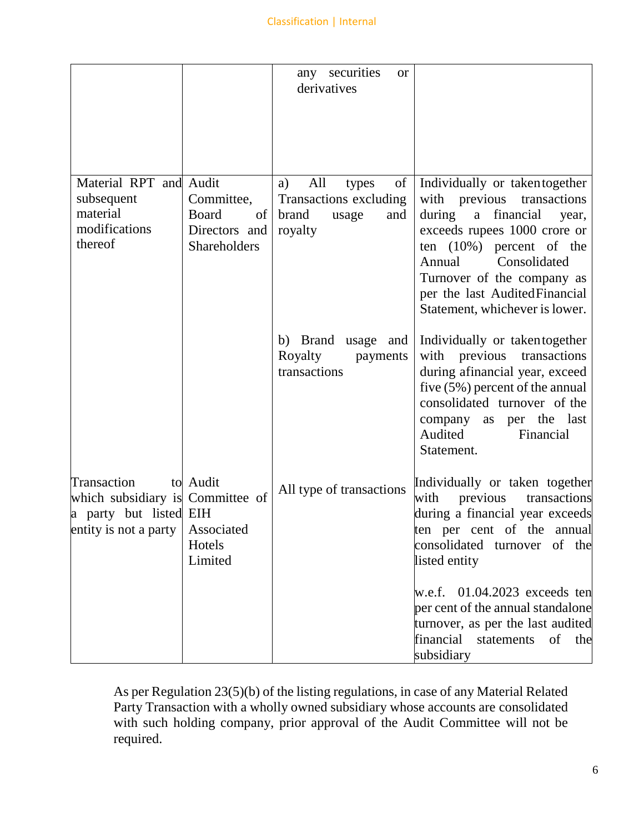|                                                                                                                       |                                                                           | any securities<br><b>or</b><br>derivatives                                             |                                                                                                                                                                                                                                                                                             |
|-----------------------------------------------------------------------------------------------------------------------|---------------------------------------------------------------------------|----------------------------------------------------------------------------------------|---------------------------------------------------------------------------------------------------------------------------------------------------------------------------------------------------------------------------------------------------------------------------------------------|
| Material RPT and Audit<br>subsequent<br>material<br>modifications<br>thereof                                          | Committee,<br><b>Board</b><br>$\sigma$ f<br>Directors and<br>Shareholders | All<br>of<br>a)<br>types<br>Transactions excluding<br>brand<br>and<br>usage<br>royalty | Individually or taken together<br>with previous<br>transactions<br>a financial<br>during<br>year,<br>exceeds rupees 1000 crore or<br>ten $(10\%)$ percent of the<br>Consolidated<br>Annual<br>Turnover of the company as<br>per the last AuditedFinancial<br>Statement, whichever is lower. |
|                                                                                                                       |                                                                           | b) Brand usage and<br>Royalty<br>payments<br>transactions                              | Individually or taken together<br>with previous transactions<br>during afinancial year, exceed<br>five $(5\%)$ percent of the annual<br>consolidated turnover of the<br>as per the last<br>company<br>Audited<br>Financial<br>Statement.                                                    |
| Transaction<br>which subsidiary is Committee of<br>a party but listed EIH<br>entity is not a party $\vert$ Associated | to Audit<br>Hotels<br>Limited                                             | All type of transactions                                                               | Individually or taken together<br>previous<br>transactions<br>with<br>during a financial year exceeds<br>ten per cent of the annual<br>consolidated turnover of the<br>listed entity                                                                                                        |
|                                                                                                                       |                                                                           |                                                                                        | w.e.f. $01.04.2023$ exceeds ten<br>per cent of the annual standalone<br>turnover, as per the last audited<br>financial statements of the<br>subsidiary                                                                                                                                      |

As per Regulation 23(5)(b) of the listing regulations, in case of any Material Related Party Transaction with a wholly owned subsidiary whose accounts are consolidated with such holding company, prior approval of the Audit Committee will not be required.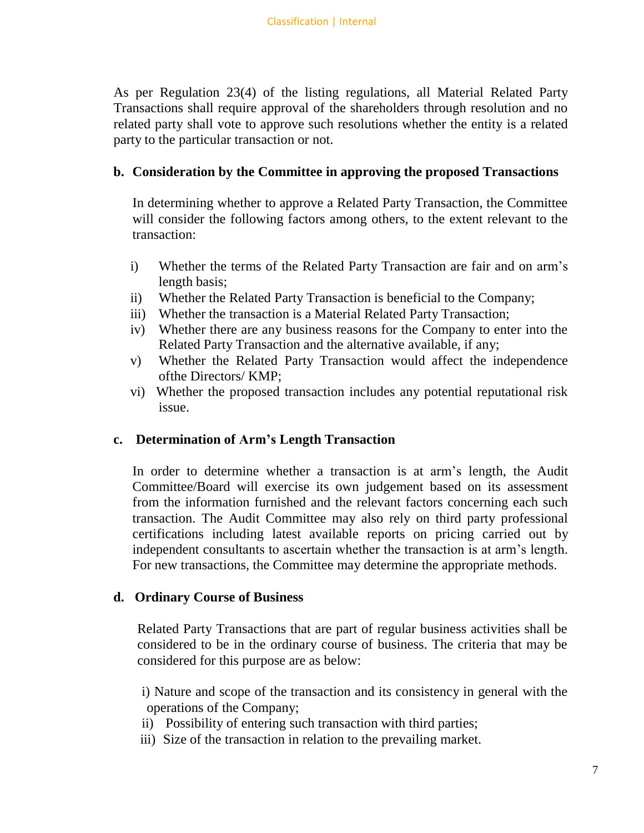As per Regulation 23(4) of the listing regulations, all Material Related Party Transactions shall require approval of the shareholders through resolution and no related party shall vote to approve such resolutions whether the entity is a related party to the particular transaction or not.

### **b. Consideration by the Committee in approving the proposed Transactions**

In determining whether to approve a Related Party Transaction, the Committee will consider the following factors among others, to the extent relevant to the transaction:

- i) Whether the terms of the Related Party Transaction are fair and on arm's length basis;
- ii) Whether the Related Party Transaction is beneficial to the Company;
- iii) Whether the transaction is a Material Related Party Transaction;
- iv) Whether there are any business reasons for the Company to enter into the Related Party Transaction and the alternative available, if any;
- v) Whether the Related Party Transaction would affect the independence ofthe Directors/ KMP;
- vi) Whether the proposed transaction includes any potential reputational risk issue.

### **c. Determination of Arm's Length Transaction**

In order to determine whether a transaction is at arm's length, the Audit Committee/Board will exercise its own judgement based on its assessment from the information furnished and the relevant factors concerning each such transaction. The Audit Committee may also rely on third party professional certifications including latest available reports on pricing carried out by independent consultants to ascertain whether the transaction is at arm's length. For new transactions, the Committee may determine the appropriate methods.

#### **d. Ordinary Course of Business**

Related Party Transactions that are part of regular business activities shall be considered to be in the ordinary course of business. The criteria that may be considered for this purpose are as below:

- i) Nature and scope of the transaction and its consistency in general with the operations of the Company;
- ii) Possibility of entering such transaction with third parties;
- iii) Size of the transaction in relation to the prevailing market.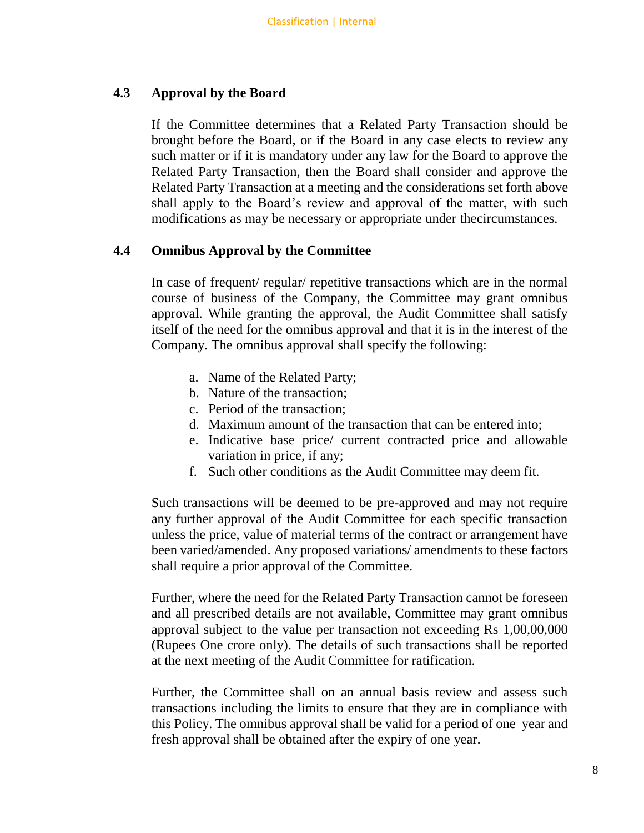#### **4.3 Approval by the Board**

If the Committee determines that a Related Party Transaction should be brought before the Board, or if the Board in any case elects to review any such matter or if it is mandatory under any law for the Board to approve the Related Party Transaction, then the Board shall consider and approve the Related Party Transaction at a meeting and the considerations set forth above shall apply to the Board's review and approval of the matter, with such modifications as may be necessary or appropriate under thecircumstances.

#### **4.4 Omnibus Approval by the Committee**

In case of frequent/ regular/ repetitive transactions which are in the normal course of business of the Company, the Committee may grant omnibus approval. While granting the approval, the Audit Committee shall satisfy itself of the need for the omnibus approval and that it is in the interest of the Company. The omnibus approval shall specify the following:

- a. Name of the Related Party;
- b. Nature of the transaction;
- c. Period of the transaction;
- d. Maximum amount of the transaction that can be entered into;
- e. Indicative base price/ current contracted price and allowable variation in price, if any;
- f. Such other conditions as the Audit Committee may deem fit.

Such transactions will be deemed to be pre-approved and may not require any further approval of the Audit Committee for each specific transaction unless the price, value of material terms of the contract or arrangement have been varied/amended. Any proposed variations/ amendments to these factors shall require a prior approval of the Committee.

Further, where the need for the Related Party Transaction cannot be foreseen and all prescribed details are not available, Committee may grant omnibus approval subject to the value per transaction not exceeding Rs 1,00,00,000 (Rupees One crore only). The details of such transactions shall be reported at the next meeting of the Audit Committee for ratification.

Further, the Committee shall on an annual basis review and assess such transactions including the limits to ensure that they are in compliance with this Policy. The omnibus approval shall be valid for a period of one year and fresh approval shall be obtained after the expiry of one year.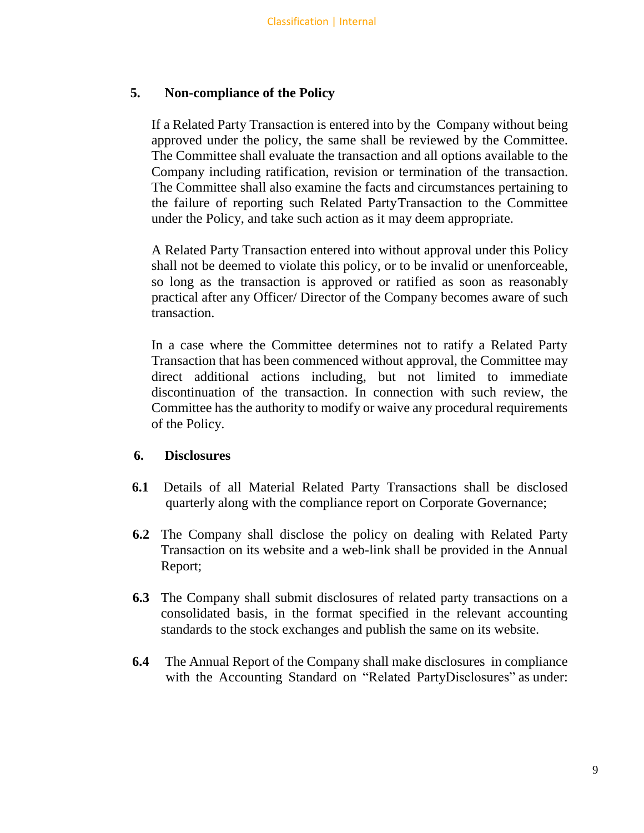#### **5. Non-compliance of the Policy**

If a Related Party Transaction is entered into by the Company without being approved under the policy, the same shall be reviewed by the Committee. The Committee shall evaluate the transaction and all options available to the Company including ratification, revision or termination of the transaction. The Committee shall also examine the facts and circumstances pertaining to the failure of reporting such Related PartyTransaction to the Committee under the Policy, and take such action as it may deem appropriate.

A Related Party Transaction entered into without approval under this Policy shall not be deemed to violate this policy, or to be invalid or unenforceable, so long as the transaction is approved or ratified as soon as reasonably practical after any Officer/ Director of the Company becomes aware of such transaction.

In a case where the Committee determines not to ratify a Related Party Transaction that has been commenced without approval, the Committee may direct additional actions including, but not limited to immediate discontinuation of the transaction. In connection with such review, the Committee has the authority to modify or waive any procedural requirements of the Policy.

#### **6. Disclosures**

- **6.1** Details of all Material Related Party Transactions shall be disclosed quarterly along with the compliance report on Corporate Governance;
- **6.2** The Company shall disclose the policy on dealing with Related Party Transaction on its website and a web-link shall be provided in the Annual Report;
- **6.3** The Company shall submit disclosures of related party transactions on a consolidated basis, in the format specified in the relevant accounting standards to the stock exchanges and publish the same on its website.
- **6.4** The Annual Report of the Company shall make disclosures in compliance with the Accounting Standard on "Related PartyDisclosures" as under: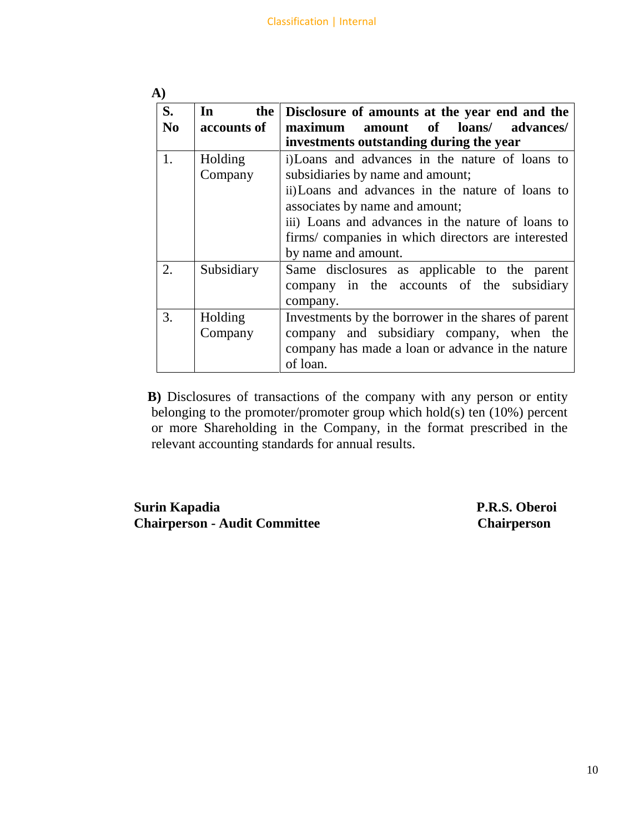| $\mathbf{A}$         |                                       |                                                                                                                                                                                                                                                                                                             |  |
|----------------------|---------------------------------------|-------------------------------------------------------------------------------------------------------------------------------------------------------------------------------------------------------------------------------------------------------------------------------------------------------------|--|
| S.<br>N <sub>0</sub> | the  <br>$\mathbf{In}$<br>accounts of | Disclosure of amounts at the year end and the<br>amount of loans/ advances/<br>maximum<br>investments outstanding during the year                                                                                                                                                                           |  |
| 1.                   | Holding<br>Company                    | i) Loans and advances in the nature of loans to<br>subsidiaries by name and amount;<br>ii) Loans and advances in the nature of loans to<br>associates by name and amount;<br>iii) Loans and advances in the nature of loans to<br>firms/ companies in which directors are interested<br>by name and amount. |  |
| 2.                   | Subsidiary                            | Same disclosures as applicable to the parent<br>company in the accounts of the subsidiary<br>company.                                                                                                                                                                                                       |  |
| 3.                   | Holding<br>Company                    | Investments by the borrower in the shares of parent<br>company and subsidiary company, when the<br>company has made a loan or advance in the nature<br>of loan.                                                                                                                                             |  |

**B)** Disclosures of transactions of the company with any person or entity belonging to the promoter/promoter group which hold(s) ten (10%) percent or more Shareholding in the Company, in the format prescribed in the relevant accounting standards for annual results.

**Surin Kapadia P.R.S. Oberoi Chairperson - Audit Committee Chairperson**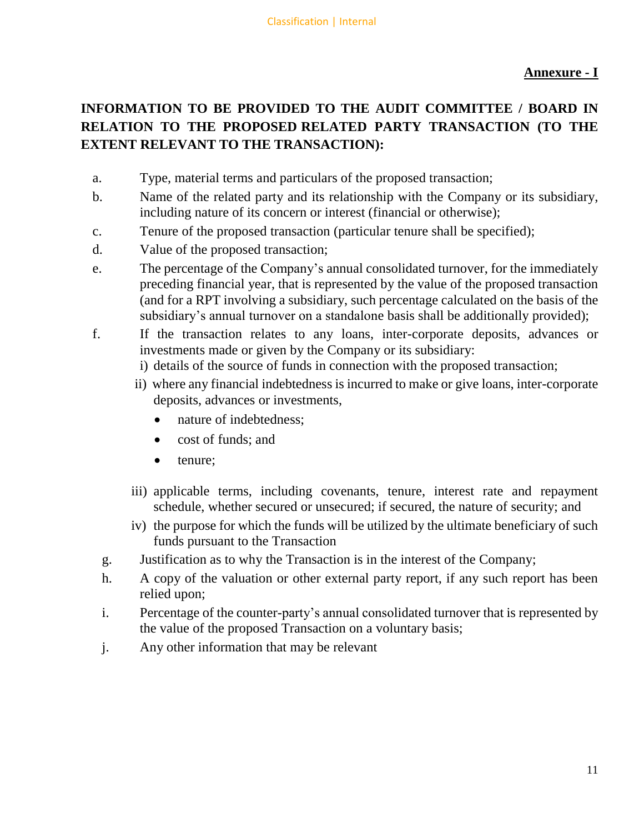# **Annexure - I**

# **INFORMATION TO BE PROVIDED TO THE AUDIT COMMITTEE / BOARD IN RELATION TO THE PROPOSED RELATED PARTY TRANSACTION (TO THE EXTENT RELEVANT TO THE TRANSACTION):**

- a. Type, material terms and particulars of the proposed transaction;
- b. Name of the related party and its relationship with the Company or its subsidiary, including nature of its concern or interest (financial or otherwise);
- c. Tenure of the proposed transaction (particular tenure shall be specified);
- d. Value of the proposed transaction;
- e. The percentage of the Company's annual consolidated turnover, for the immediately preceding financial year, that is represented by the value of the proposed transaction (and for a RPT involving a subsidiary, such percentage calculated on the basis of the subsidiary's annual turnover on a standalone basis shall be additionally provided);
- f. If the transaction relates to any loans, inter-corporate deposits, advances or investments made or given by the Company or its subsidiary:
	- i) details of the source of funds in connection with the proposed transaction;
	- ii) where any financial indebtedness is incurred to make or give loans, inter-corporate deposits, advances or investments,
		- nature of indebtedness:
		- cost of funds; and
		- tenure;
	- iii) applicable terms, including covenants, tenure, interest rate and repayment schedule, whether secured or unsecured; if secured, the nature of security; and
	- iv) the purpose for which the funds will be utilized by the ultimate beneficiary of such funds pursuant to the Transaction
	- g. Justification as to why the Transaction is in the interest of the Company;
	- h. A copy of the valuation or other external party report, if any such report has been relied upon;
	- i. Percentage of the counter-party's annual consolidated turnover that is represented by the value of the proposed Transaction on a voluntary basis;
	- j. Any other information that may be relevant